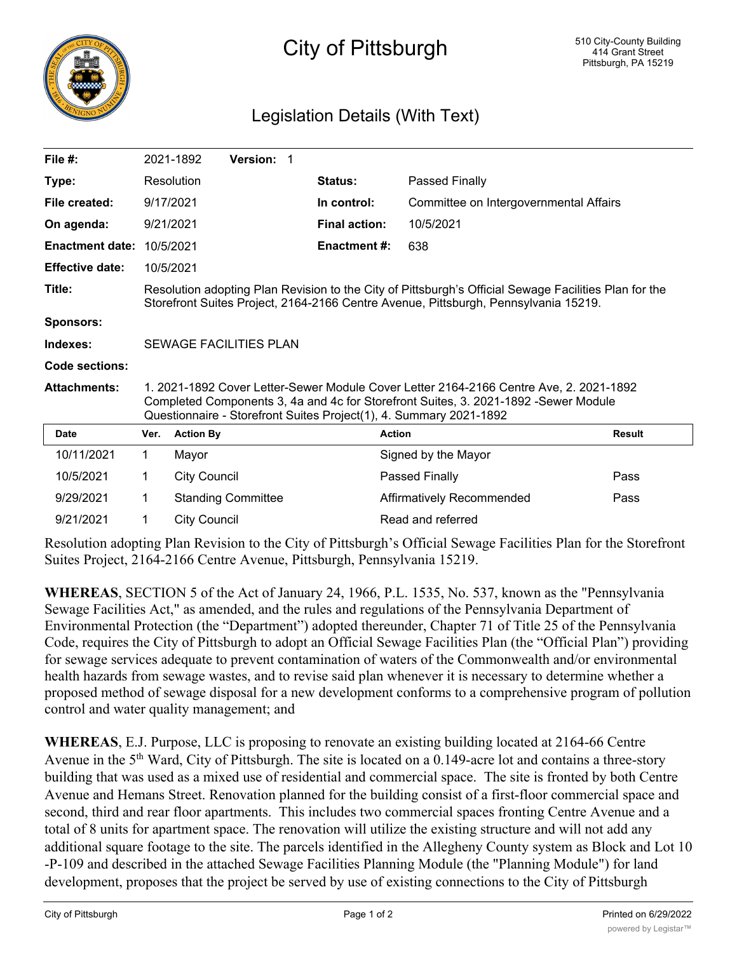

## City of Pittsburgh

## Legislation Details (With Text)

| File #:                |                                                                                                                                                                                                                                                     | 2021-1892           | <b>Version: 1</b>         |  |                      |                                        |               |
|------------------------|-----------------------------------------------------------------------------------------------------------------------------------------------------------------------------------------------------------------------------------------------------|---------------------|---------------------------|--|----------------------|----------------------------------------|---------------|
| Type:                  |                                                                                                                                                                                                                                                     | Resolution          |                           |  | Status:              | Passed Finally                         |               |
| File created:          |                                                                                                                                                                                                                                                     | 9/17/2021           |                           |  | In control:          | Committee on Intergovernmental Affairs |               |
| On agenda:             | 9/21/2021                                                                                                                                                                                                                                           |                     |                           |  | <b>Final action:</b> | 10/5/2021                              |               |
| <b>Enactment date:</b> | 10/5/2021                                                                                                                                                                                                                                           |                     |                           |  | <b>Enactment #:</b>  | 638                                    |               |
| <b>Effective date:</b> |                                                                                                                                                                                                                                                     | 10/5/2021           |                           |  |                      |                                        |               |
| Title:                 | Resolution adopting Plan Revision to the City of Pittsburgh's Official Sewage Facilities Plan for the<br>Storefront Suites Project, 2164-2166 Centre Avenue, Pittsburgh, Pennsylvania 15219.                                                        |                     |                           |  |                      |                                        |               |
| <b>Sponsors:</b>       |                                                                                                                                                                                                                                                     |                     |                           |  |                      |                                        |               |
| Indexes:               | <b>SEWAGE FACILITIES PLAN</b>                                                                                                                                                                                                                       |                     |                           |  |                      |                                        |               |
| Code sections:         |                                                                                                                                                                                                                                                     |                     |                           |  |                      |                                        |               |
| <b>Attachments:</b>    | 1. 2021-1892 Cover Letter-Sewer Module Cover Letter 2164-2166 Centre Ave, 2. 2021-1892<br>Completed Components 3, 4a and 4c for Storefront Suites, 3. 2021-1892 -Sewer Module<br>Questionnaire - Storefront Suites Project(1), 4. Summary 2021-1892 |                     |                           |  |                      |                                        |               |
| Date                   | Ver.                                                                                                                                                                                                                                                | <b>Action By</b>    |                           |  |                      | <b>Action</b>                          | <b>Result</b> |
| 10/11/2021             | 1.                                                                                                                                                                                                                                                  | Mayor               |                           |  |                      | Signed by the Mayor                    |               |
| 10/5/2021              | 1                                                                                                                                                                                                                                                   | <b>City Council</b> |                           |  |                      | Passed Finally                         | Pass          |
| 9/29/2021              | 1                                                                                                                                                                                                                                                   |                     | <b>Standing Committee</b> |  |                      | Affirmatively Recommended              | Pass          |
| 9/21/2021              | 1                                                                                                                                                                                                                                                   | <b>City Council</b> |                           |  |                      | Read and referred                      |               |

Resolution adopting Plan Revision to the City of Pittsburgh's Official Sewage Facilities Plan for the Storefront Suites Project, 2164-2166 Centre Avenue, Pittsburgh, Pennsylvania 15219.

**WHEREAS**, SECTION 5 of the Act of January 24, 1966, P.L. 1535, No. 537, known as the "Pennsylvania Sewage Facilities Act," as amended, and the rules and regulations of the Pennsylvania Department of Environmental Protection (the "Department") adopted thereunder, Chapter 71 of Title 25 of the Pennsylvania Code, requires the City of Pittsburgh to adopt an Official Sewage Facilities Plan (the "Official Plan") providing for sewage services adequate to prevent contamination of waters of the Commonwealth and/or environmental health hazards from sewage wastes, and to revise said plan whenever it is necessary to determine whether a proposed method of sewage disposal for a new development conforms to a comprehensive program of pollution control and water quality management; and

**WHEREAS**, E.J. Purpose, LLC is proposing to renovate an existing building located at 2164-66 Centre Avenue in the 5<sup>th</sup> Ward, City of Pittsburgh. The site is located on a 0.149-acre lot and contains a three-story building that was used as a mixed use of residential and commercial space. The site is fronted by both Centre Avenue and Hemans Street. Renovation planned for the building consist of a first-floor commercial space and second, third and rear floor apartments. This includes two commercial spaces fronting Centre Avenue and a total of 8 units for apartment space. The renovation will utilize the existing structure and will not add any additional square footage to the site. The parcels identified in the Allegheny County system as Block and Lot 10 -P-109 and described in the attached Sewage Facilities Planning Module (the "Planning Module") for land development, proposes that the project be served by use of existing connections to the City of Pittsburgh